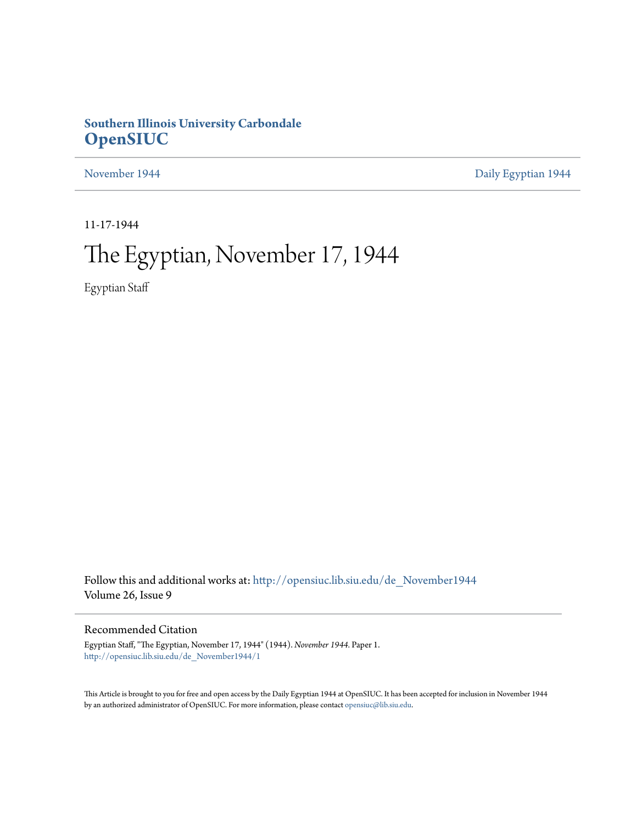## **Southern Illinois University Carbondale [OpenSIUC](http://opensiuc.lib.siu.edu?utm_source=opensiuc.lib.siu.edu%2Fde_November1944%2F1&utm_medium=PDF&utm_campaign=PDFCoverPages)**

[November 1944](http://opensiuc.lib.siu.edu/de_November1944?utm_source=opensiuc.lib.siu.edu%2Fde_November1944%2F1&utm_medium=PDF&utm_campaign=PDFCoverPages) **[Daily Egyptian 1944](http://opensiuc.lib.siu.edu/de_1944?utm_source=opensiuc.lib.siu.edu%2Fde_November1944%2F1&utm_medium=PDF&utm_campaign=PDFCoverPages)** 

11-17-1944

# The Egyptian, November 17, 1944

Egyptian Staff

Follow this and additional works at: [http://opensiuc.lib.siu.edu/de\\_November1944](http://opensiuc.lib.siu.edu/de_November1944?utm_source=opensiuc.lib.siu.edu%2Fde_November1944%2F1&utm_medium=PDF&utm_campaign=PDFCoverPages) Volume 26, Issue 9

## Recommended Citation

Egyptian Staff, "The Egyptian, November 17, 1944" (1944). *November 1944.* Paper 1. [http://opensiuc.lib.siu.edu/de\\_November1944/1](http://opensiuc.lib.siu.edu/de_November1944/1?utm_source=opensiuc.lib.siu.edu%2Fde_November1944%2F1&utm_medium=PDF&utm_campaign=PDFCoverPages)

This Article is brought to you for free and open access by the Daily Egyptian 1944 at OpenSIUC. It has been accepted for inclusion in November 1944 by an authorized administrator of OpenSIUC. For more information, please contact [opensiuc@lib.siu.edu.](mailto:opensiuc@lib.siu.edu)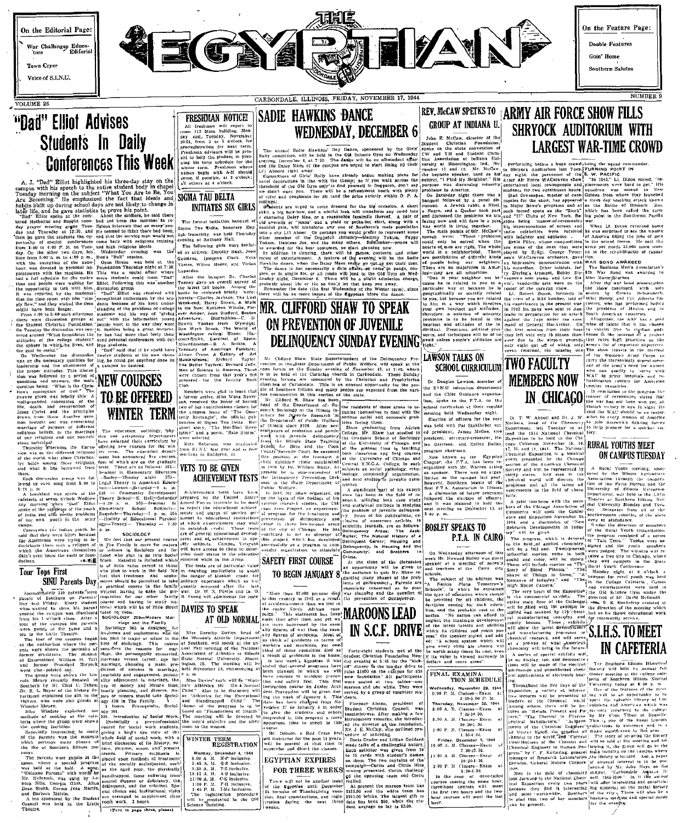

 $VOLIIME. 26$ 



On the Feature Page: Double Features

Coin' Home

Southern Salutes

NUMBER 9

# "Dad" Elliot Advises **Students In Daily Conferences This Week**

1. J. "Dad" Elliot highlighted his three-day stay on the popular and the speech to the entire student body in chapel<br>1. J. "Dad" Elliot highlighted his three-day stay on the<br>12 Becoming." He emphasized the fact that ideal

departum<br>Ticulum

Hall-Saturda

 $565 - 86$ 

School

vho plan to go into<br>Material is included

iscussion grot<br>"Dod" Elliot

he other two days, nis Weaussuay events.<br>9:00 a. m. to 4:09 p. m., Men's "Bull" session.<br>exception of the noon Open House was Foundation Thur

u waa war<br>alatac tha

r respuesta igions, four of which are on the courses,<br>igions, four of which are on the graduate<br>from level. These are as to<br>lower: 36-minute in Elementary Education<br> $\frac{1}{2}$  with the interval matrix of the set of the course<br> $\frac{1}{2}$ 

edness Theory School-E.<br>Elliot -8:30 a. m. 562 evon o'clock Wedness Theory School<br>
"when "Dod" Elliot -8:39 a. m.<br>
sphiems of the youth Elementary<br>
also of the problems Ragsdale-Th  $\begin{cases} \text{ convergenceary} & \text{Stdop} = \begin{cases} \text{Rarginality} - \text{Rarginality} \\ \text{Rarginality} - \text{Pj. m. 555} \\ \text{logy} - \text{Finner} & \text{Fliutational} \end{cases} \\ \text{logy} - \text{Tonney} - \text{Tinraday} - 7:30 \\ \text{R, 20} \end{cases} \end{cases}$ youth in the

runraday runraday runraday runraday because  $\begin{bmatrix} 0 & 0 \\ 0 & 0 \end{bmatrix}$ . We feel that our present as<br>gion of in The Family is more for runral process or runral linear who plan to run for the plan to run and Work hey were bitter because ·エポ副Work

## Tour Tops First

**FOR EXAMPLE 1988** Works. Nearly 10 is of Hitle value exert to those in the spin of the spin of the spin of the spin of the spin of the spin of the spin of the spin of the spin of the spin of  $\frac{1}{2}$  spin  $\frac{1}{2}$  is a DIVU Futures Day<br>of Southern on Parents'<br>of Southern on Parents'<br>said the campus was dismissed<br>include to show his parents<br>include the campus was dismissed<br>include the campus of the campus the Little Theatre.<br>Here Little T value to them.<br>SOCIOLOGY 203-Modern Mar-

sociology 203 is designed<br>Sociology 203 is designed<br>freshmen and sophomores when<br>not plan to major or minor is<br>fled of sociology. This contracts<br>the magnifiers the magnifiers r the pot<br>ts. The<br>William **Source** 'illiam H. Tatt marvias<br>sident Shryock marvias pointed out.<br>pointed out. The diction of success in

y Mr. Clui C. Theorem is a statement in narriage the present comparison of the state of monotor and islamic time, and interest the statement of the statement of the statement of the statement of the statement of the state

the museum while field of social work, with phases of brief discussion of its history.

Soutiern illions public transports comes and reason of the special is the special of the special of the special of the special of the special of the special of the special of the special of the special policies are the sp

# **SADIE HAWKINS DANCE FRESHMAN NOTICE!** TREDIBILITY ITULES<br>
IN THE STAIN DISPUTE THE STAIN OF THE STAIN OF THE STAIN OF THE STAIN OF THE STAIN OF THE STAIN PRESS TO THE STAIN THE STAIN PRESS TO THE STAIN OF THE STAIN OF THE STAIN OF THE STAIN OF THE STAIN OF THE WEDNESDAY, DECEMBER 6

SIGMA TAU DELTA

following girls ed as actives: Derothy Rush, Joan

**Lunardus** 

**INITIATES SIX GIRLS** The formal initiation bangs

imogene Clark.

Nina

Charles

Olympus;<br>World of

Sigma Tau Delta, honorary Eng-Holl

Theiss, Wilma Moore, and Vivian

from S.I.N.U last year and<br>garding in Dablgren, 111.

VETS TO BE GIVEN

ment our out camps, Veterant<br>will have access to them to determine their status in the education<br>ment their status in the education<br>received while in the Army.

received while in the Army.<br>The tests are of particular value of the tests are of particular value<br>in enabling institutions to avoid the danger of blanket credit for<br>military experience which so from<br>quently occurred after

**DAVIES TO SPEAK** 

theme of the program<br>based on "Foundations<br>The morning will be

The registration procedured in the Ol Science Building.

y s pre-professional the men's stillettes social work students, noon to the women.

eyo

**S TU BE WELLY**<br>**ACHIEVEMENT TESTS** Store 1

Hawkits' Day Dance, approached by the Girls'<br>be held in the Old Science Gym on Wednesday<br>at 7:39. The dange will be an all-student after

CARRONDALE, ILLINOIS, FRIDAY, NOVEMBER 17, 1944

Abners right away.<br>
Montre in Carte Raily are a statement of the statement of Carte Renative and D.2. Mr.<br>
incomparison of the statement of the statement of the statement speaking mass of the statement speaking mass<br>
incom

their men.

**MR. CLIFFORD SHAW TO SPEAK** ON PREVENTION OF JUVENILE **DELINOUENCY SUNDAY EVENING** 

Mr. Clifford Shaw. State Superintendent of the Delinquency Pre-<br>vention in the 25 at the Dentument of Public Welfare, will speak at the<br>open forum on the Sunday evening of November 19, at 7:45, which<br>is to be held at the C were chosen from this year's sind is to be held at the Christian church in Carbondale. These Shorta (1991), the chosen from the presented of the second of the second of the second of the second of the second of the second

id audience cluele established (central<br>1990 by Dr. William Healty, Att subject he is superimented of land in<br>1990 by Dr. Percention Divisionis<br>1990 by Dr. Delinquenty Percention Divisionis<br>1993 by Att Since Pepartment of

quency,<br>A significant part of his experience has been in the field of research, utilizing both case stady nd statistical methods in studying e problem of javenile<br>
1. Some of his public<br>
1. Some of his public<br>
lentific journals, are a<br>
islingency<br>
Meas;<br>
iller; The Natural His nt Career suecessfully as a pro<br>munity organization.

SAFETY FIRST COURSE

TO BEGIN JANUARY 8

AT OLD NORMAL

State Normal University. Bloom-<br>Ington, Ill. The meeting will be<br>held November 18, commencing at In lust week's

Athleties for the *i*<br>L" Also to be discuss<br>Athletice for the Exception of the discussion of the more in the state of the state of the more in the state of the more in the state of the more of the state of the more state o the men's athletics and the

WINTER TERM<br>REGISTRATION n. EURESTIVATION<br>
8:00 A. M. M-P Inclusive.<br>
8:00 A. M. Q-S Inclusive.<br>
8:36 A. M. Q-S Inclusive.<br>
19:15 A. M. C-B inclusive.<br>
19:15 A. M. C-B inclusive.<br>
1:69 P. M. P-H inclusive.<br>
1:45 P. M. P-H inclusive.<br>
1:45 P. M. P-

**EGYPTIAN EXPIRES** 

FOR THREE WEEKS

replied.<br>
At present the maroon team<br>
3155.00 end the white team<br>
3155.00 bricks. The largest g<br>
date has been 350, while the<br>
dent average so far is \$3.00.

**GROUP AT INDIANA U.** SHRYOCK AUDITORIUM WITH I D<br>Student Christian Foundation.<br>Olris' apoke to the state convention of<br>nesdsy CW and YM and Student Chris-

Association at<br>ty at Bicoming umington.<br>12. Mr. there were

chbornood. Taere<br>of different kinds agsibilities Impressive accordion. U.u., 21ering's trumpet.

**LAWSON TALKS ON** 

## SCHOOL CURRICULUM TWO FACULTY

**MEMBERS NOW** Douglas Lawson, member of the S.I.N.U. education departmen and the Child Guidance organiza-

lon, spoke to the F.T.A. on the<br>chool curriculum at their regular ...<br>meaths held Wednesday night.

Electing near Wealtestay signs.<br>Was held with Pat Stahlheber vot 

program chairman. vent presented by the<br>ection of the Anserican organized with Mr. Warren acting

### **BOSLEY SPEAKS TO** P.T.A. IN CAIRO

On Wednesday afternoon of this<br>week Mr. Howard Bolley was guest<br>speaker at a meeting of parents<br>and teachers of the Cairo city inustrial interves. some of the shape will include movies on Story of Blood Plasma."<br>Somy of Blood Plasma."<br>Shape of Things to Come,"<br>Romance of Industry." and High Speed Camera."

... "No nation can afford to the maximum development?<br>
in the calculation and youth posterior in the children and abilities<br>
1. Its children and youth posterior in the speaker stated, and add-<br>  $\lambda$  school system which wil

FINAL EXAMINA TION SCHEDULE lay, November 29, 1944<br>M. Classes—Exam  $9:00$  A. M.  $(1)$ 10:30-1:30 -no P. M. Clas Exam- $1.30 - 1.3$ December

the first two hour

Performing before a huge crowd being the squad command<br>in Shryock Auddorfum last Tues-TTURNING POINT IN<br>day night. the personnel of the 5. W. PACIFIC<br>Army Air Force WACaravan show. "In 1943." Lt. Dixon at:

**IN CHICAGO** 

 $15, 16$ 

age Association<br>Topen The Confer

REV. McCAW SPETKS TO ARMY AIR FORCE SHOW FILLS

itudents for two continuous hours. squadro<br>Stan Greenspan, master of cere-Guinea<br>nonies for the show, has appeared a three the formulation that the way all Sinn Greenpoise, we say a speed a line field point of the model of the state of the state of the state of the state of the state of the state of the state of the state of the state of the  $\overline{r}$ day bombing attack know

**LARGEST WAR-TIME CROWD** 

structure interests of screen and<br>the impersonations of screen and<br>with ladghter were received<br>with ladghter and applaose.<br>Erable Pilice, whose compositions<br>are some of the ones that were<br>played by S/S5t. Ceorge Peter-t by S/Sgt. George 1 demonstration<br>Other soloists,<br>rumpet, Bobby

exaction<br>with WAR BOND AW<br>IF The Business A<br>Ste 125 War Bond<br>Sta. Max Marie Star

## **RURAL YOUTHS MEET** ON CAMPUS TUESDAY

Association through the .<br>| southwestern .......<br>| southwestern .......

bers of the Chicago Association<br>
(Commerce will open the Confer)<br>
enve and Exposition November 15.<br>
1964. and a discussion of "New"<br>
Research Developments in Indus-<br>  $\left[\frac{1}{2}R^2 + \frac{1}{2}R^2\right]$  is given. were in attendance.<br>The the direction of the Rural Youth Organ ry" will be given.<br>The program, which is devoted<br>- the field of applied chemistry. devoted the program consisted of

very heart of the Exposition with 180 exhibits in

# while the distance of the Soliton in the distance of the number of the state of the state of the state of the state of the state of the state of the state of the state of the state of the state of the state of the state o **IN CAFETERIA**

leal Exposition every two years aterial on the soc<br>city., There will<br>ss meeting and spe

# formulative and the discussion of the discussion of the discussion of the discussion of the analytic state and the discussion of the party party of the party of the party of the party of the state of the state of the state

foundation. All participan<br>seated at two tables-on<br>on and one white. They we

ents.<br>Florence Alston, president of<br>trudent Christian Council, was<br>pastmistress. After making a few<br>atroductory remarks, she-introduc irector of the foundation

question of

1Mr. J. E. McCay, who outlined pro-<br>  $V$  enter to solid the control of the control of the control of the<br>  $V$  point of criter and Lillian Goddard<br>  $\theta$  media takes of a challenging have:<br>
Let be been two assessments and t

 $16.46$ 

Note than 83.000 persons and the constant in qualitation of the constant of the constant of the constant of the constant of the constant of the constant of the constant of the constant of the constant of the constant of t IN S.C.F. DRIVE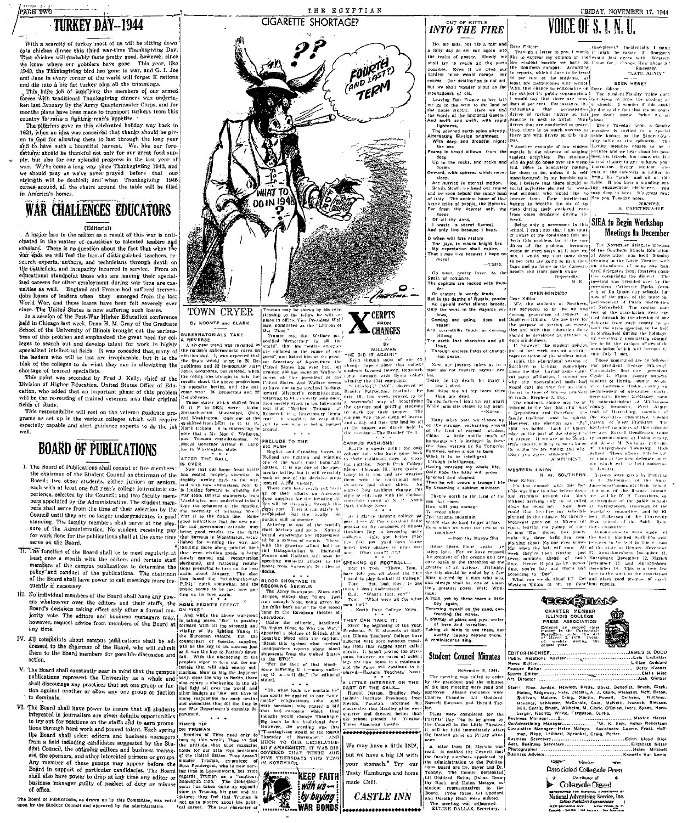## PAGE TWO **TURKEY DAY-1944**

- 
- 
- 
- 
- 
- The Deard of Publication, as deres in the set of the parties of the content in the set of the content in the set of the content in the content in the content in the content in the content in the content in the content in



THE EGYPTIAN



# $INTO$   $THE$   $FIRE$

FRIDAY, NOVEMBER 17, 1944 VOICE OF S. I. N. II





Member **Associated Collegiate Press** Collegiale Digest Mational Advertising Service, Inc.<br>National Advertising Service, Inc.<br>College Publishers Reprenentation 420 MADISON AVE NEW YORK N.Y.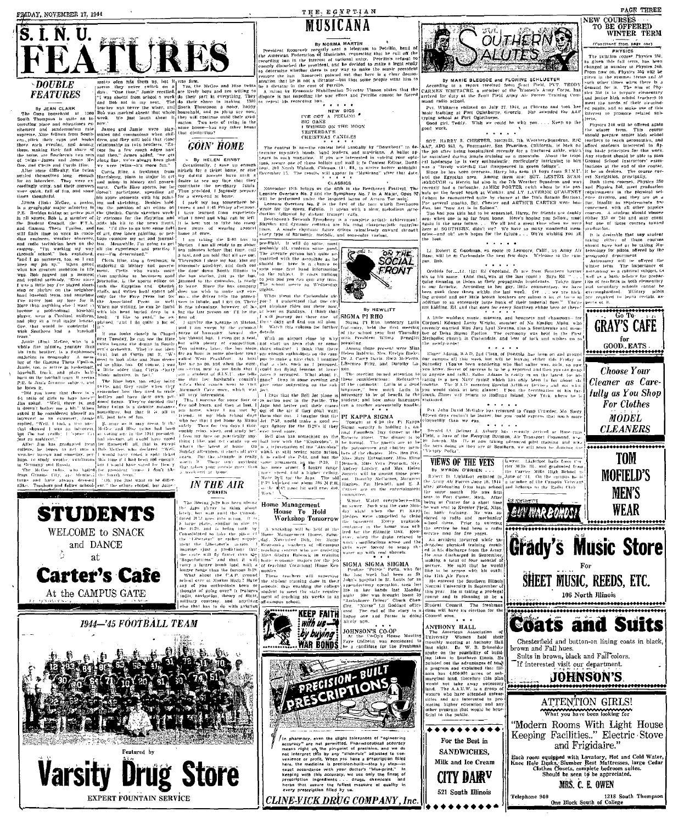

## **DOUBLE FEATURES**

 $\frac{1}{1}$ 

**STUDENTS** WELCOME to SNACK

> and DANCE at

**Carter's Cafe** 

At the CAMPUS GATE

1944—'45 FOOTBALL TEAM

**Varsity Drug Store** 

**EXPERT FOUNTAIN SERVICE** 



**GOIN' HOME** 

**IN THE AIR** 

u vonusvur<br>Une tan-natch

Home Management<br>House To Hold<br>Workshop Tomorrow about

**KEEP FAITH** 

with us by buying JOHNSON'S CO-OF WAR BONDS

RECISION-BUILD

CLINE-VICK DRUG COMPANY, Inc.



THE, EGYPTIAN

MIISICANA

**By NORMA MARTIN** 

CANDLES

SIGMA PI RHO

PI KAPPA SIGMA



For the Best in SANDWICHES,

Milk and Ice Cream CITY DAIR<sup>V</sup>

521 South Illinois



OUTHERNE

Cleaner as Carefully as You Shop











106 North Illinois







If interested visit our department.





Each room equipped with Lavatory, Hot and Cold Water,<br>Knee Hole Dasks, Slumber Rest Mattresses, large Cedar<br>Clothes Closets, complete bedroom suites.<br>Should be seen to be appreciated.

Telephone 940 1218 South Thomp<br>One Block South of College



**GRAY'S CAFE** 

 $\begin{matrix} \text{for} \\\text{GOOD.} \text{EATS} \end{matrix}$ 

**Choose Your** 

For Clothes MODEL

**CLEANERS** 

**TOM** 

**MEN'S** 

**WEAR** 

By JEAN CLARK